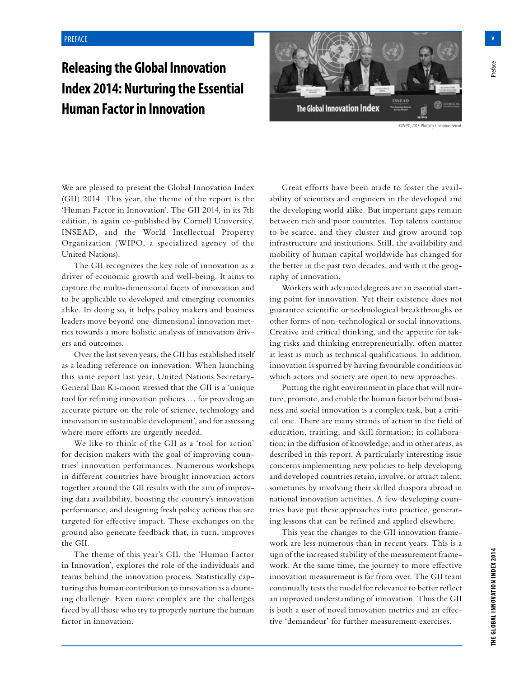## **Releasing the Global Innovation Index 2014: Nurturing the Essential Human Factor in Innovation**



We are pleased to present the Global Innovation Index (GII) 2014. This year, the theme of the report is the 'Human Factor in Innovation'. The GII 2014, in its 7th edition, is again co-published by Cornell University, INSEAD, and the World Intellectual Property Organization (WIPO, a specialized agency of the United Nations).

The GII recognizes the key role of innovation as a driver of economic growth and well-being. It aims to capture the multi-dimensional facets of innovation and to be applicable to developed and emerging economies alike. In doing so, it helps policy makers and business leaders move beyond one-dimensional innovation metrics towards a more holistic analysis of innovation drivers and outcomes.

Over the last seven years, the GII has established itself as a leading reference on innovation. When launching this same report last year, United Nations Secretary-General Ban Ki-moon stressed that the GII is a 'unique tool for refining innovation policies … for providing an accurate picture on the role of science, technology and innovation in sustainable development', and for assessing where more efforts are urgently needed.

We like to think of the GII as a 'tool for action' for decision makers with the goal of improving countries' innovation performances. Numerous workshops in different countries have brought innovation actors together around the GII results with the aim of improving data availability, boosting the country's innovation performance, and designing fresh policy actions that are targeted for effective impact. These exchanges on the ground also generate feedback that, in turn, improves the GII.

The theme of this year's GII, the 'Human Factor in Innovation', explores the role of the individuals and teams behind the innovation process. Statistically capturing this human contribution to innovation is a daunting challenge. Even more complex are the challenges faced by all those who try to properly nurture the human factor in innovation.

Great efforts have been made to foster the availability of scientists and engineers in the developed and the developing world alike. But important gaps remain between rich and poor countries. Top talents continue to be scarce, and they cluster and grow around top infrastructure and institutions. Still, the availability and mobility of human capital worldwide has changed for the better in the past two decades, and with it the geography of innovation.

Workers with advanced degrees are an essential starting point for innovation. Yet their existence does not guarantee scientific or technological breakthroughs or other forms of non-technological or social innovations. Creative and critical thinking, and the appetite for taking risks and thinking entrepreneurially, often matter at least as much as technical qualifications. In addition, innovation is spurred by having favourable conditions in which actors and society are open to new approaches.

Putting the right environment in place that will nurture, promote, and enable the human factor behind business and social innovation is a complex task, but a critical one. There are many strands of action in the field of education, training, and skill formation; in collaboration; in the diffusion of knowledge; and in other areas, as described in this report. A particularly interesting issue concerns implementing new policies to help developing and developed countries retain, involve, or attract talent, sometimes by involving their skilled diaspora abroad in national innovation activities. A few developing countries have put these approaches into practice, generating lessons that can be refined and applied elsewhere.

This year the changes to the GII innovation framework are less numerous than in recent years. This is a sign of the increased stability of the measurement framework. At the same time, the journey to more effective innovation measurement is far from over. The GII team continually tests the model for relevance to better reflect an improved understanding of innovation. Thus the GII is both a user of novel innovation metrics and an effective 'demandeur' for further measurement exercises.

<sup>p</sup>reface